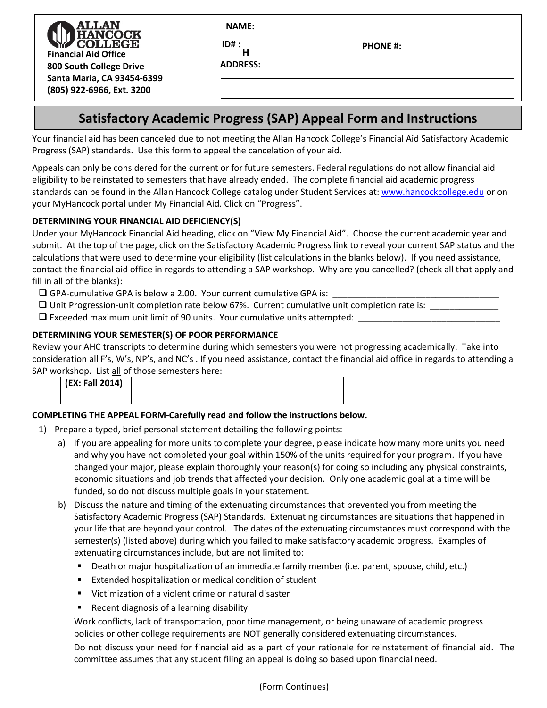.T.AN **Financial Aid Office 800 South College Drive Santa Maria, CA 93454-6399 (805) 922-6966, Ext. 3200**

**NAME:**

**H**

**ADDRESS:**

**ID# : PHONE #:** 

# **Satisfactory Academic Progress (SAP) Appeal Form and Instructions**

Your financial aid has been canceled due to not meeting the Allan Hancock College's Financial Aid Satisfactory Academic Progress (SAP) standards. Use this form to appeal the cancelation of your aid.

Appeals can only be considered for the current or for future semesters. Federal regulations do not allow financial aid eligibility to be reinstated to semesters that have already ended. The complete financial aid academic progress standards can be found in the Allan Hancock College catalog under Student Services at: [www.hancockcollege.edu](http://www.hancockcollege.edu/) or on your MyHancock portal under My Financial Aid. Click on "Progress".

# **DETERMINING YOUR FINANCIAL AID DEFICIENCY(S)**

Under your MyHancock Financial Aid heading, click on "View My Financial Aid". Choose the current academic year and submit. At the top of the page, click on the Satisfactory Academic Progress link to reveal your current SAP status and the calculations that were used to determine your eligibility (list calculations in the blanks below). If you need assistance, contact the financial aid office in regards to attending a SAP workshop. Why are you cancelled? (check all that apply and fill in all of the blanks):

 $\square$  GPA-cumulative GPA is below a 2.00. Your current cumulative GPA is:

- $\square$  Unit Progression-unit completion rate below 67%. Current cumulative unit completion rate is:
- $\square$  Exceeded maximum unit limit of 90 units. Your cumulative units attempted:

# **DETERMINING YOUR SEMESTER(S) OF POOR PERFORMANCE**

Review your AHC transcripts to determine during which semesters you were not progressing academically. Take into consideration all F's, W's, NP's, and NC's . If you need assistance, contact the financial aid office in regards to attending a SAP workshop. List all of those semesters here:

| (EX: Fall 2014) |  |  |  |
|-----------------|--|--|--|
|                 |  |  |  |

### **COMPLETING THE APPEAL FORM-Carefully read and follow the instructions below.**

- 1) Prepare a typed, brief personal statement detailing the following points:
	- a) If you are appealing for more units to complete your degree, please indicate how many more units you need and why you have not completed your goal within 150% of the units required for your program. If you have changed your major, please explain thoroughly your reason(s) for doing so including any physical constraints, economic situations and job trends that affected your decision. Only one academic goal at a time will be funded, so do not discuss multiple goals in your statement.
	- b) Discuss the nature and timing of the extenuating circumstances that prevented you from meeting the Satisfactory Academic Progress (SAP) Standards. Extenuating circumstances are situations that happened in your life that are beyond your control. The dates of the extenuating circumstances must correspond with the semester(s) (listed above) during which you failed to make satisfactory academic progress. Examples of extenuating circumstances include, but are not limited to:
		- Death or major hospitalization of an immediate family member (i.e. parent, spouse, child, etc.)
		- Extended hospitalization or medical condition of student
		- Victimization of a violent crime or natural disaster
		- Recent diagnosis of a learning disability

Work conflicts, lack of transportation, poor time management, or being unaware of academic progress policies or other college requirements are NOT generally considered extenuating circumstances.

Do not discuss your need for financial aid as a part of your rationale for reinstatement of financial aid. The committee assumes that any student filing an appeal is doing so based upon financial need.

(Form Continues)